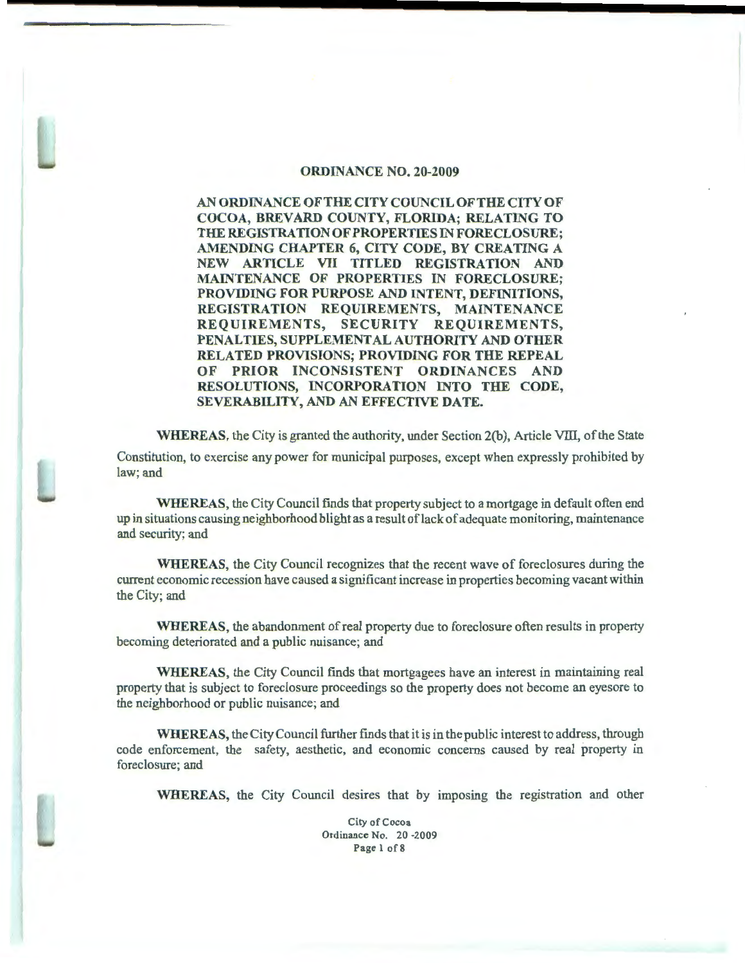# ORDINANCE NO. 20-2009

ANORDINANCEOFTHECITYCOUNCILOFTHECITYOF COCOA, BREVARD COUNTY, FLORIDA; RELATING TO THE REGISTRATION OF PROPERTIES IN FORECLOSURE; AMENDING CHAPTER 6, CITY CODE, BY CREATING A NEW ARTICLE VII TITLED REGISTRATION AND MAINTENANCE OF PROPERTIES IN FORECLOSURE; PROVIDING FOR PURPOSE AND INTENT, DEFINITIONS, REGISTRATION REQUIREMENTS, MAINTENANCE REQUIREMENTS, SECURITY REQUIREMENTS, PENALTIES, SUPPLEMENTAL AUTHORITY AND OTHER RELATED PROVISIONS; PROVIDING FOR THE REPEAL OF PRIOR INCONSISTENT ORDINANCES AND RESOLUTIONS, INCORPORATION INTO THE CODE, SEVERABILITY, AND AN EFFECTIVE DATE.

WHEREAS, the City is granted the authority, under Section 2(b), Article Vill, of the State Constitution, to exercise any power for municipal purposes, except when expressly prohibited by law; and

WHEREAS, the City Council fmds that property subject to a mortgage in default often end up in situations causing neighborhood blight as a result oflack of adequate monitoring, maintenance and security; and

WHEREAS, the City Council recognizes that the recent wave of foreclosures during the current economic recession have caused a significant increase in properties becoming vacant within the City; and

WHEREAS, the abandonment of real property due to foreclosure often results in property becoming deteriorated and a public nuisance; and

WHEREAS, the City Council finds that mortgagees have an interest in maintaining real property that is subject to foreclosure proceedings so the property does not become an eyesore to the neighborhood or public nuisance; and

WHEREAS, the City Council further finds that it is in the public interest to address, through code enforcement, the safety, aesthetic, and economic concerns caused by real property in foreclosure; and

WHEREAS, the City Council desires that by imposing the registration and other

City of Cocoa Ordinance No. 20 -2009 Page 1 of 8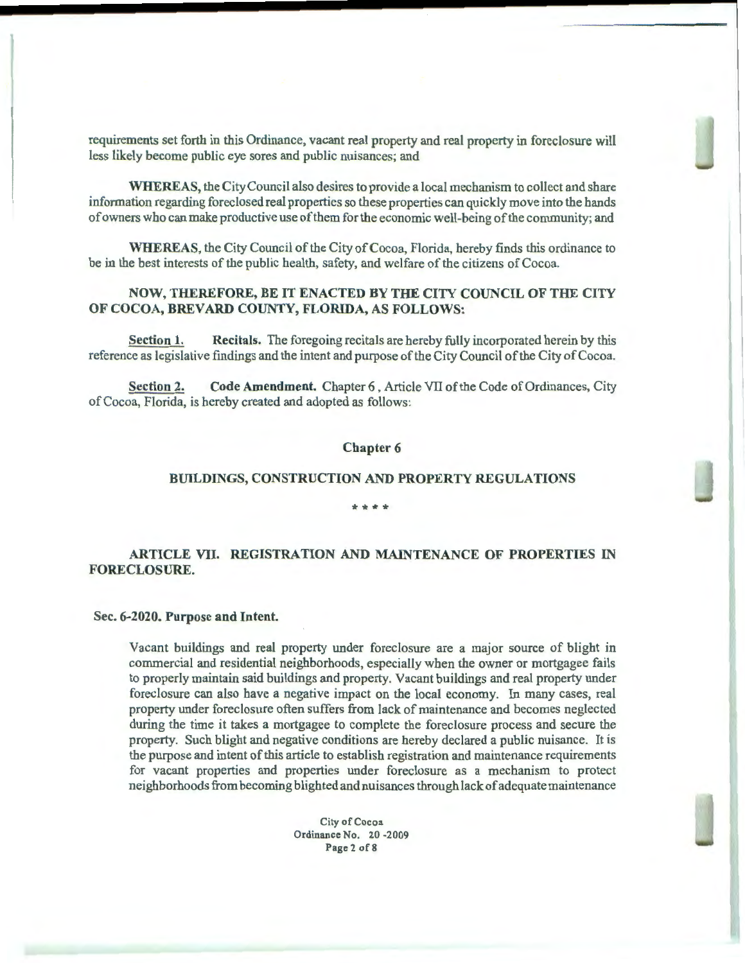requirements set forth in this Ordinance, vacant real property and real property in foreclosure will less likely become public eye sores and public nuisances; and

WHEREAS, the City Council also desires to provide a local mechanism to collect and share information regarding foreclosed real properties so these properties can quickly move into the hands of owners who can make productive use ofthem for the economic well-being of the community; and

WHEREAS, the City Council of the City of Cocoa, Florida, hereby finds this ordinance to be in the best interests of the public health, safety, and welfare of the citizens of Cocoa.

# NOW, THEREFORE, BE IT ENACTED BY THE CITY COUNCIL OF THE CITY OF COCOA, BREVARD COUNTY, FLORIDA, AS FOLLOWS:

Section 1. Recitals. The foregoing recitals are hereby fully incorporated herein by this reference as legislative findings and the intent and purpose of the City Council of the City of Cocoa.

Section 2. Code Amendment. Chapter 6, Article VII of the Code of Ordinances, City of Cocoa, Florida, is hereby created and adopted as follows:

### Chapter 6

# BUILDINGS, CONSTRUCTION AND PROPERTY REGULATIONS

## \*\*\*\*

# ARTICLE VII. REGISTRATION AND MAINTENANCE OF PROPERTIES IN FORECLOSURE.

# Sec. 6-2020. Purpose and Intent.

Vacant buildings and real property under foreclosure are a major source of blight in commercial and residential neighborhoods, especially when the owner or mortgagee fails to properly maintain said buildings and property. Vacant buildings and real property under foreclosure can also have a negative impact on the local economy. In many cases, real property under foreclosure often suffers from lack of maintenance and becomes neglected during the time it takes a mortgagee to complete the foreclosure process and secure the property. Such blight and negative conditions are hereby declared a public nuisance. It is the purpose and intent of this article to establish registration and maintenance requirements for vacant properties and properties under foreclosure as a mechanism to protect neighborhoods from becoming blighted and nuisances through lack of adequate maintenance

> City of Cocoa Ordinance No. 20 -2009 Page 2 of 8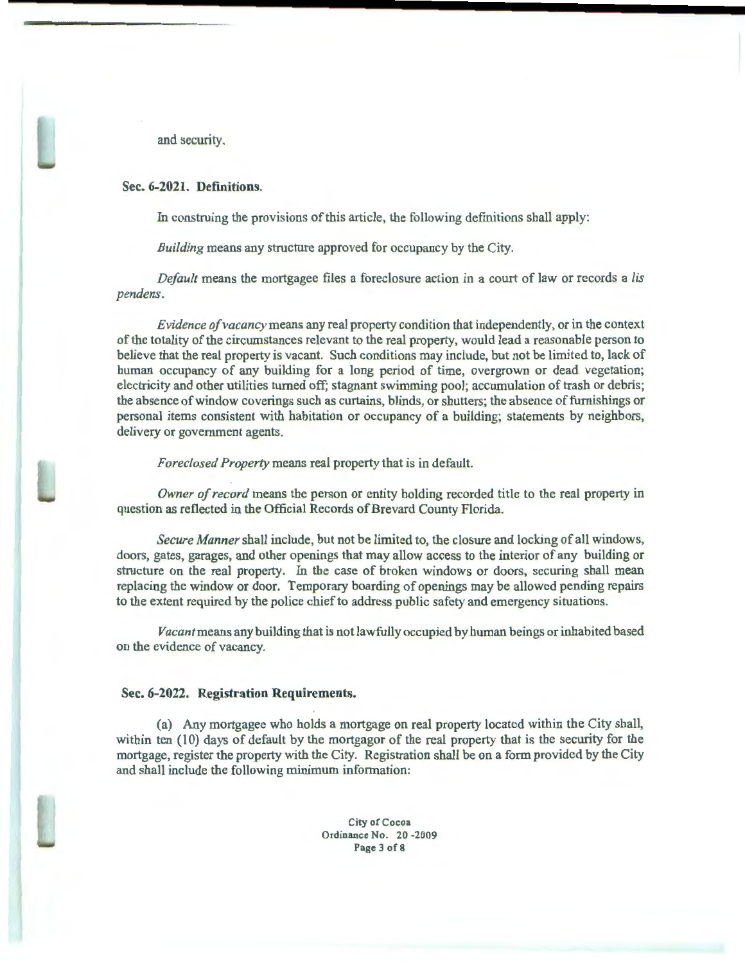and security.

### Sec. 6-2021. Definitions.

In construing the provisions of this article, the following definitions shall apply:

*Building* means any structure approved for occupancy by the City.

*Default* means the mortgagee files a foreclosure action in a court of law or records a *lis pendens.* 

*Evidence of vacancy* means any real property condition that independently, or in the context of the totality of the circumstances relevant to the real property, would lead a reasonable person to believe that the real property is vacant. Such conditions may include, but not be limited to, lack of human occupancy of any building for a long period of time, overgrown or dead vegetation; electricity and other utilities turned off; stagnant swimming pool; accumulation of trash or debris; the absence of window coverings such as curtains, blinds, or shutters; the absence of furnishings or personal items consistent with habitation or occupancy of a building; statements by neighbors, delivery or government agents.

*Foreclosed Property* means real property that is in default.

*Owner of record* means the person or entity holding recorded title to the real property in question as reflected in the Official Records of Brevard County Florida.

*Secure Manner* shall include, but not be limited to, the closure and locking of all windows, doors, gates, garages, and other openings that may allow access to the interior of any building or structure on the real property. In the case of broken windows or doors, securing shall mean replacing the window or door. Temporary boarding of openings may be allowed pending repairs to the extent required by the police chief to address public safety and emergency situations.

*Vacant* means any building that is not lawfully occupied by human beings or inhabited based on the evidence of vacancy.

#### Sec. 6-2022. Registration Requirements.

(a) Any mortgagee who holds a mortgage on real property located within the City shall, within ten (10) days of default by the mortgagor of the real property that is the security for the mortgage, register the property with the City. Registration shall be on a form provided by the City and shall include the following minimum information:

> City of Cocoa Ordinance No. 20 -2009 Page 3 of 8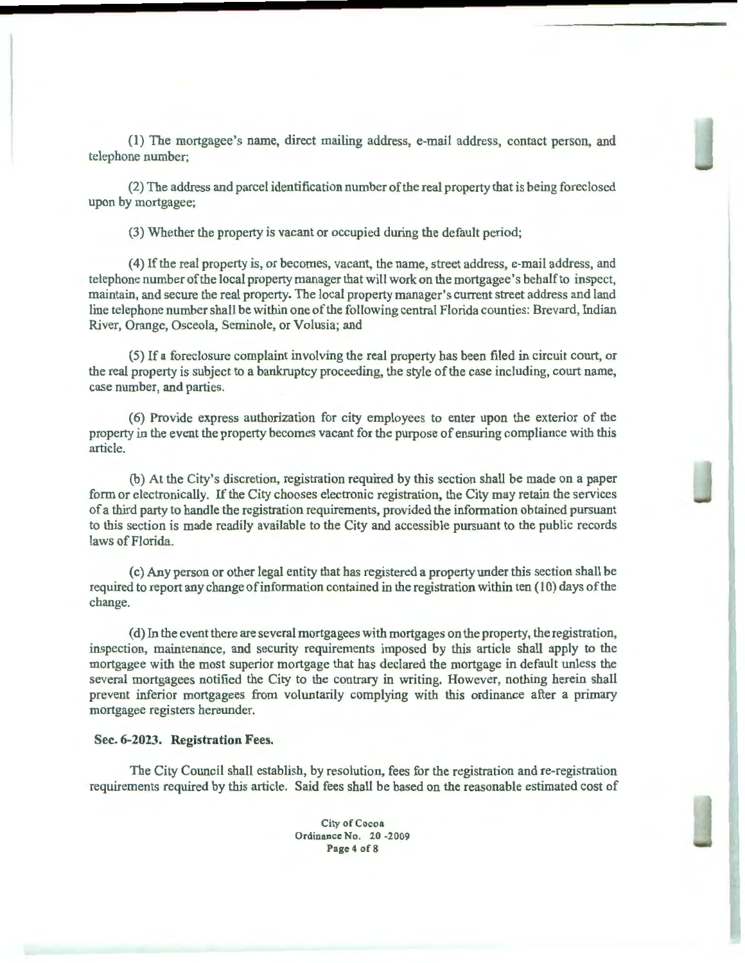(1) The mortgagee's name, direct mailing address, e-mail address, contact person, and telephone number;

(2) The address and parcel identification number of the real property that is being foreclosed upon by mortgagee;

(3) Whether the property is vacant or occupied during the default period;

(4) If the real property is, or becomes, vacant, the name, street address, e-mail address, and telephone number of the local property manager that will work on the mortgagee's behalf to inspect, maintain, and secure the real property. The local property manager's current street address and land line telephone number shall be within one of the following central Florida counties: Brevard, Indian River, Orange, Osceola, Seminole, or Volusia; and

( 5) If a foreclosure complaint involving the real property has been filed in circuit court, or the real property is subject to a bankruptcy proceeding, the style of the case including, court name, case number, and parties.

(6) Provide express authorization for city employees to enter upon the exterior of the property in the event the property becomes vacant for the purpose of ensuring compliance with this article.

(b) At the City's discretion, registration required by this section shall be made on a paper form or electronically. If the City chooses electronic registration, the City may retain the services of a third party to handle the registration requirements, provided the information obtained pursuant to this section is made readily available to the City and accessible pursuant to the public records laws of Florida.

(c) Any person or other legal entity that has registered a property under this section shall be required to report any change of information contained in the registration within ten (10) days of the change.

(d) In the event there are several mortgagees with mortgages on the property, the registration, inspection, maintenance, and security requirements imposed by this article shall apply to the mortgagee with the most superior mortgage that has declared the mortgage in default unless the several mortgagees notified the City to the contrary in writing. However, nothing herein shall prevent inferior mortgagees from voluntarily complying with this ordinance after a primary mortgagee registers hereunder.

### Sec. **6-2023. Registration** Fees.

The City Council shall establish, by resolution, fees for the registration and re-registration requirements required by this article. Said fees shall be based on the reasonable estimated cost of

> City of Cocoa Ordinance No. 20 -2009 Page 4 of 8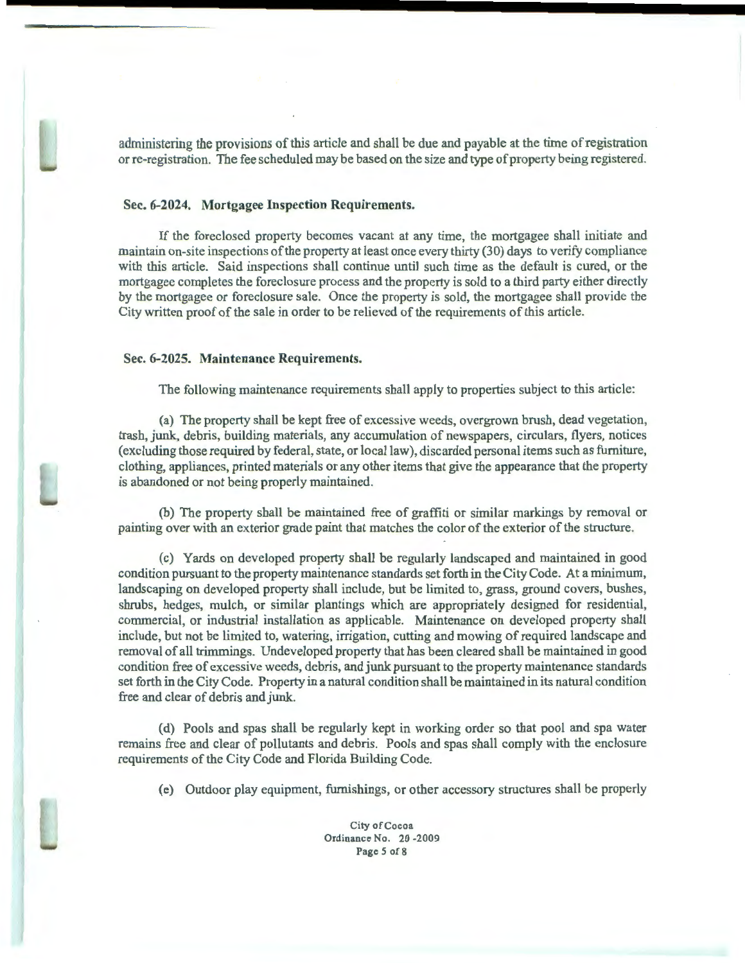administering the provisions of this article and shall be due and payable at the time of registration or re-registration. The fee scheduled may be based on the size and type of property being registered.

# Sec. 6-2024. Mortgagee Inspection Requirements.

If the foreclosed property becomes vacant at any time, the mortgagee shall initiate and maintain on-site inspections of the property at least once every thirty (30) days to verify compliance with this article. Said inspections shall continue until such time as the default is cured, or the mortgagee completes the foreclosure process and the property is sold to a third party either directly by the mortgagee or foreclosure sale. Once the property is sold, the mortgagee shall provide the City written proof of the sale in order to be relieved of the requirements of this article.

# Sec. 6-2025. Maintenance Requirements.

The following maintenance requirements shall apply to properties subject to this article:

(a) The property shall be kept free of excessive weeds, overgrown brush, dead vegetation, trash, junk, debris, building materials, any accumulation of newspapers, circulars, flyers, notices (excluding those required by federal, state, or local law), discarded personal items such as furniture, clothing, appliances, printed materials or any other items that give the appearance that the property is abandoned or not being properly maintained.

(b) The property shall be maintained free of graffiti or similar markings by removal or painting over with an exterior grade paint that matches the color of the exterior of the structure.

(c) Yards on developed property shall be regularly landscaped and maintained in good condition pursuant to the property maintenance standards set forth in the City Code. At a minimum, landscaping on developed property shall include, but be limited to, grass, ground covers, bushes, shrubs, hedges, mulch, or similar plantings which are appropriately designed for residential, commercial, or industrial installation as applicable. Maintenance on developed property shall include, but not be limited to, watering, irrigation, cutting and mowing of required landscape and removal of all trimmings. Undeveloped property that has been cleared shall be maintained in good condition free of excessive weeds, debris, and junk pursuant to the property maintenance standards set forth in the City Code. Property in a natural condition shall be maintained in its natural condition free and clear of debris and junk.

(d) Pools and spas shall be regularly kept in working order so that pool and spa water remains free and clear of pollutants and debris. Pools and spas shall comply with the enclosure requirements of the City Code and Florida Building Code.

(e) Outdoor play equipment, furnishings, or other accessory structures shall be properly

City of Cocoa Ordinance No. 20 -2009 Page *5* of8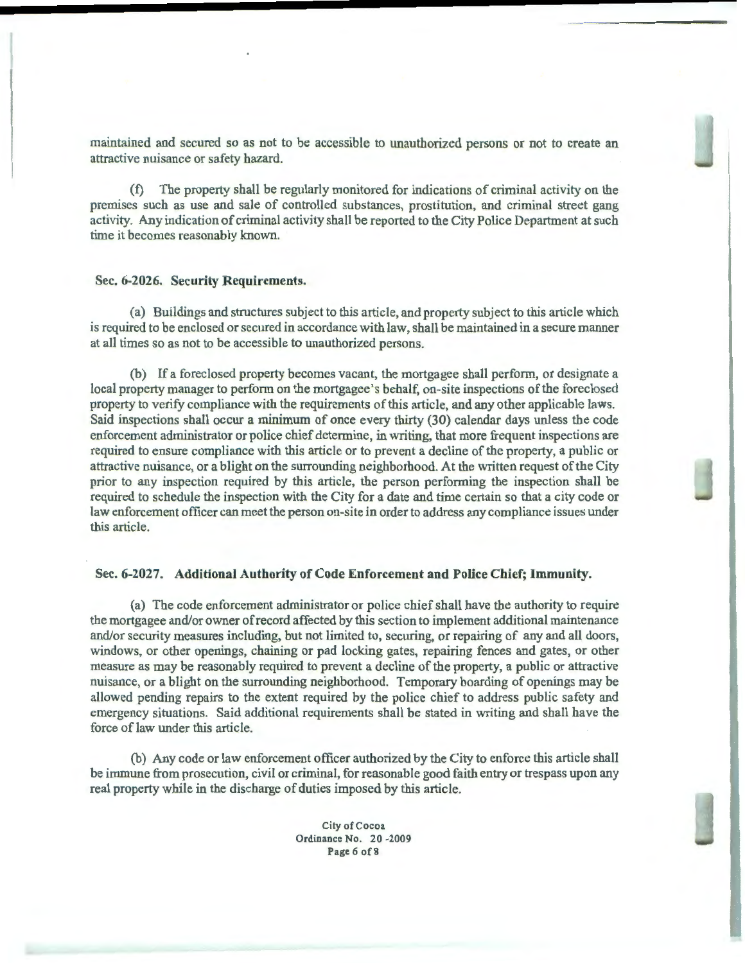maintained and secured so as not to be accessible to unauthorized persons or not to create an attractive nuisance or safety hazard.

(f) The property shall be regularly monitored for indications of criminal activity on the premises such as use and sale of controlled substances, prostitution, and criminal street gang activity. Any indication of criminal activity shall be reported to the City Police Department at such time it becomes reasonably known.

### Sec. 6-2026. Security Requirements.

(a) Buildings and structures subject to this article, and property subject to this article which is required to be enclosed or secured in accordance with law, shall be maintained in a secure manner at all times so as not to be accessible to unauthorized persons.

(b) If a foreclosed property becomes vacant, the mortgagee shall perform, or designate a local property manager to perform on the mortgagee's behalf, on-site inspections of the foreclosed property to verify compliance with the requirements of this article, and any other applicable laws. Said inspections shall occur a minimum of once every thirty (30) calendar days unless the code enforcement administrator or police chief determine, in writing, that more frequent inspections are required to ensure compliance with this article or to prevent a decline of the property, a public or attractive nuisance, or a blight on the surrounding neighborhood. At the written request of the City prior to any inspection required by this article, the person performing the inspection shall be required to schedule the inspection with the City for a date and time certain so that a city code or law enforcement officer can meet the person on-site in order to address any compliance issues under this article.

# Sec. 6-2027. Additional Authority of Code Enforcement and Police Chief; Immunity.

(a) The code enforcement administrator or police chief shall have the authority to require the mortgagee and/or owner of record affected by this section to implement additional maintenance and/or security measures including, but not limited to, securing, or repairing of any and all doors, windows, or other openings, chaining or pad locking gates, repairing fences and gates, or other measure as may be reasonably required to prevent a decline of the property, a public or attractive nuisance, or a blight on the surrounding neighborhood. Temporary boarding of openings may be allowed pending repairs to the extent required by the police chief to address public safety and emergency situations. Said additional requirements shall be stated in writing and shall have the force of law under this article.

(b) Any code or law enforcement officer authorized by the City to enforce this article shall be immune from prosecution, civil or criminal, for reasonable good faith entry or trespass upon any real property while in the discharge of duties imposed by this article.

> City of Cocoa Ordinance No. 20 -2009 Page 6 of 8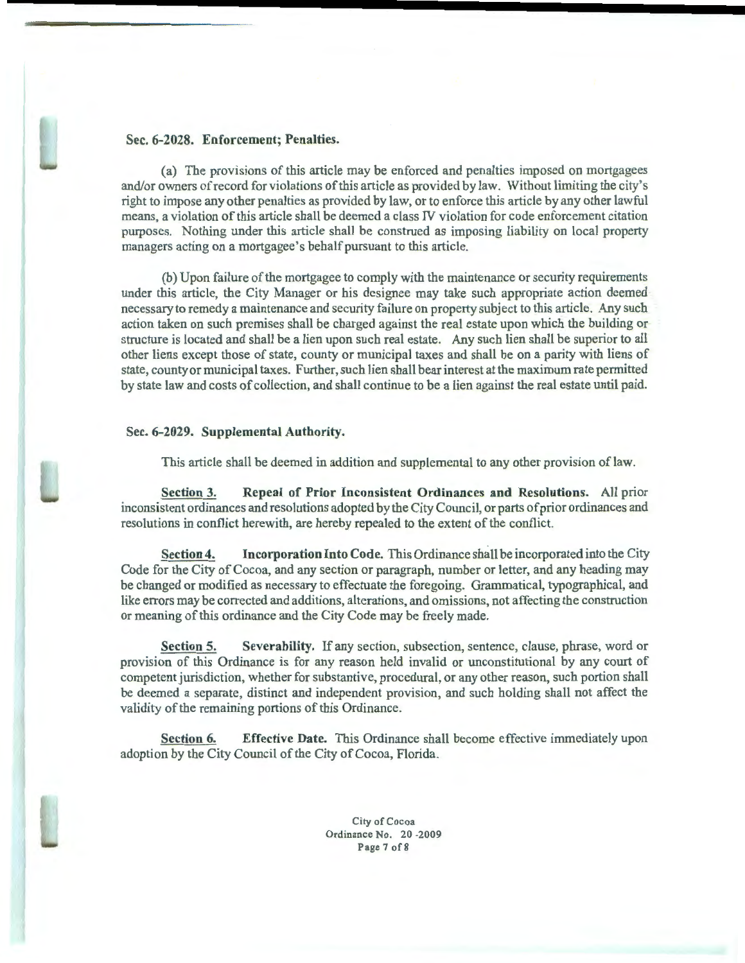

(a) The provisions of this article may be enforced and penalties imposed on mortgagees and/or owners of record for violations ofthis article as provided by law. Without limiting the city's right to impose any other penalties as provided by law, or to enforce this article by any other lawful means, a violation of this article shall be deemed a class N violation for code enforcement citation purposes. Nothing under this article shall be construed as imposing liability on local property managers acting on a mortgagee's behalf pursuant to tbis article.

(b) Upon failure of the mortgagee to comply with the maintenance or security requirements under this article, the City Manager or his designee may take such appropriate action deemed necessary to remedy a maintenance and security failure on property subject to this article. Any such action taken on such premises shall be charged against the real estate upon which the building or structure is located and shall be a lien upon such real estate. Any such lien shall be superior to all other liens except those of state, county or municipal taxes and shall be on a parity with liens of state, county or municipal taxes. Further, such lien shall bear interest at the maximum rate permitted by state law and costs of collection, and shall continue to be a lien against the real estate until paid.

### Sec. 6-2029. Supplemental Authority.

This article shall be deemed in addition and supplemental to any other provision oflaw.

Section 3. Repeal of Prior Inconsistent Ordinances and Resolutions. All prior inconsistent ordinances and resolutions adopted by the City Council, or parts of prior ordinances and resolutions in conflict herewith, are hereby repealed to the extent of the conflict.

Section 4. Incorporation Into Code. This Ordinance shall be incorporated into the City Code for the City of Cocoa, and any section or paragraph, number or letter, and any heading may be changed or modified as necessary to effectuate the foregoing. Grammatical, typographical, and like errors may be corrected and additions, alterations, and omissions, not affecting the construction or meaning of this ordinance and the City Code may be freely made.

Section 5. Severability. If any section, subsection, sentence, clause, phrase, word or provision of this Ordinance is for any reason held invalid or unconstitutional by any court of competent jurisdiction, whether for substantive, procedural, or any other reason, such portion shall be deemed a separate, distinct and independent provision, and such holding shall not affect the validity of the remaining portions of this Ordinance.

Section 6. Effective Date. This Ordinance shall become effective immediately upon adoption by the City Council of the City of Cocoa, Florida.

> City of Cocoa Ordinance No. 20 -2009 Page7of8